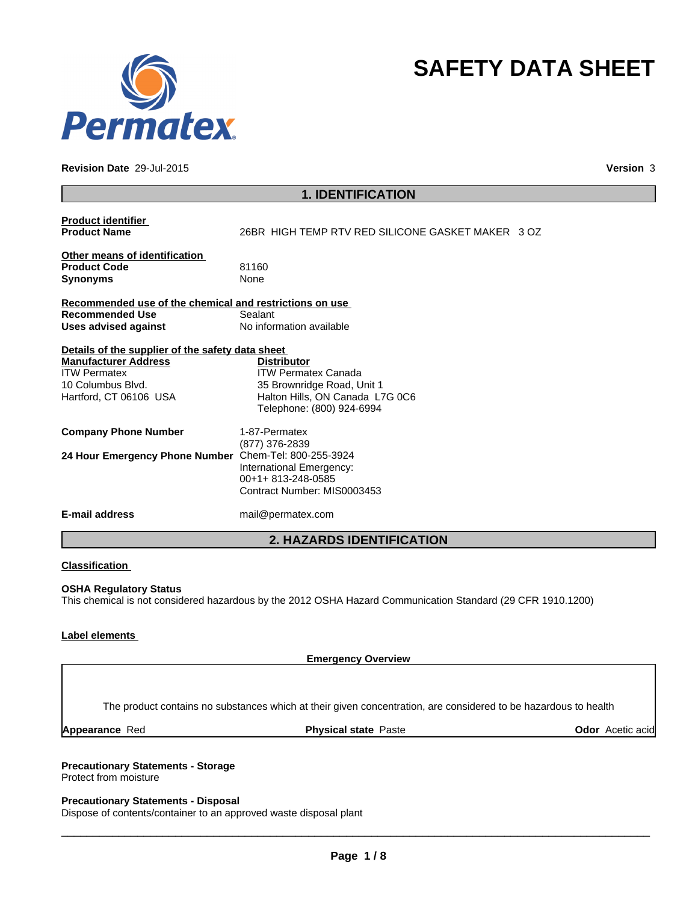

#### **Revision Date** 29-Jul-2015

**Version** 3

**SAFETY DATA SHEET**

| <b>1. IDENTIFICATION</b>                                                                                                                              |                                                                                                                                                |  |  |
|-------------------------------------------------------------------------------------------------------------------------------------------------------|------------------------------------------------------------------------------------------------------------------------------------------------|--|--|
| <b>Product identifier</b><br><b>Product Name</b>                                                                                                      | 26BR HIGH TEMP RTV RED SILICONE GASKET MAKER 3 OZ                                                                                              |  |  |
| Other means of identification<br><b>Product Code</b><br><b>Synonyms</b>                                                                               | 81160<br><b>None</b>                                                                                                                           |  |  |
| Recommended use of the chemical and restrictions on use<br><b>Recommended Use</b><br><b>Uses advised against</b>                                      | Sealant<br>No information available                                                                                                            |  |  |
| Details of the supplier of the safety data sheet<br><b>Manufacturer Address</b><br><b>ITW Permatex</b><br>10 Columbus Blvd.<br>Hartford, CT 06106 USA | <b>Distributor</b><br><b>ITW Permatex Canada</b><br>35 Brownridge Road, Unit 1<br>Halton Hills, ON Canada L7G 0C6<br>Telephone: (800) 924-6994 |  |  |
| <b>Company Phone Number</b><br>24 Hour Emergency Phone Number Chem-Tel: 800-255-3924                                                                  | 1-87-Permatex<br>(877) 376-2839<br>International Emergency:                                                                                    |  |  |
| <b>E-mail address</b>                                                                                                                                 | 00+1+813-248-0585<br>Contract Number: MIS0003453<br>mail@permatex.com                                                                          |  |  |
|                                                                                                                                                       | <b>2. HAZARDS IDENTIFICATION</b>                                                                                                               |  |  |
|                                                                                                                                                       |                                                                                                                                                |  |  |

## **Classification**

### **OSHA Regulatory Status**

This chemical is not considered hazardous by the 2012 OSHA Hazard Communication Standard (29 CFR 1910.1200)

### **Label elements**

**Emergency Overview**

The product contains no substances which at their given concentration, are considered to be hazardous to health

**Appearance Red 60 Appearance Red 60 Appearance Red 60 Acetic acid Physical state Paste 60 Acetic acid Physical state Paste 60 Acetic acid** 

## **Precautionary Statements - Storage**

Protect from moisture

#### **Precautionary Statements - Disposal**

Dispose of contents/container to an approved waste disposal plant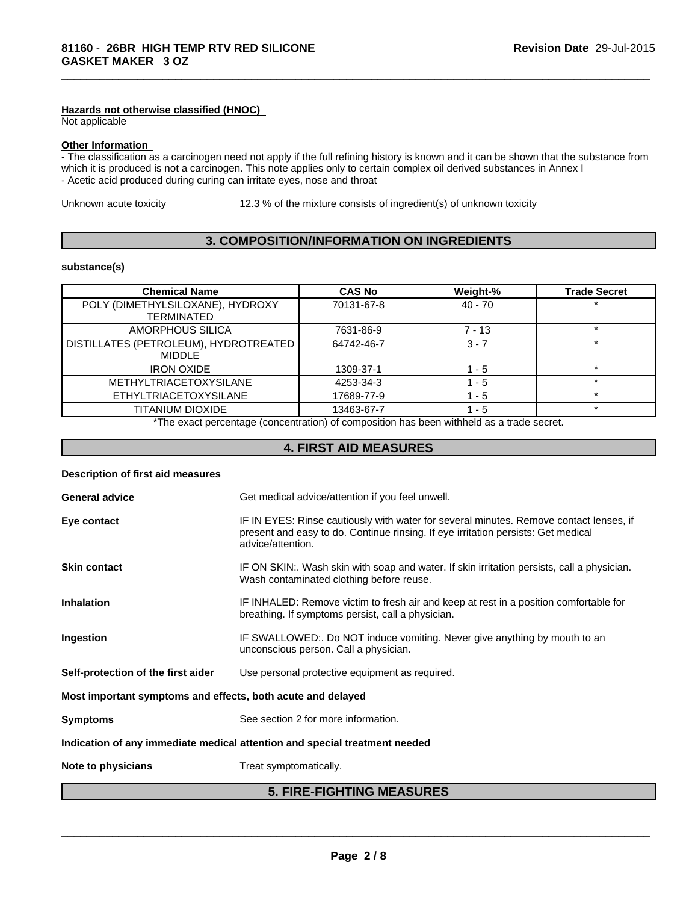### **Hazards not otherwise classified (HNOC)**

Not applicable

#### **Other Information**

- The classification as a carcinogen need not apply if the full refining history is known and it can be shown that the substance from which it is produced is not a carcinogen. This note applies only to certain complex oil derived substances in Annex I - Acetic acid produced during curing can irritate eyes, nose and throat

Unknown acute toxicity 12.3 % of the mixture consists of ingredient(s) of unknown toxicity

\_\_\_\_\_\_\_\_\_\_\_\_\_\_\_\_\_\_\_\_\_\_\_\_\_\_\_\_\_\_\_\_\_\_\_\_\_\_\_\_\_\_\_\_\_\_\_\_\_\_\_\_\_\_\_\_\_\_\_\_\_\_\_\_\_\_\_\_\_\_\_\_\_\_\_\_\_\_\_\_\_\_\_\_\_\_\_\_\_\_\_\_\_

## **3. COMPOSITION/INFORMATION ON INGREDIENTS**

#### **substance(s)**

| <b>Chemical Name</b>                                   | <b>CAS No</b> | Weight-%  | <b>Trade Secret</b> |
|--------------------------------------------------------|---------------|-----------|---------------------|
| POLY (DIMETHYLSILOXANE), HYDROXY<br><b>TERMINATED</b>  | 70131-67-8    | $40 - 70$ |                     |
| AMORPHOUS SILICA                                       | 7631-86-9     | $7 - 13$  |                     |
| DISTILLATES (PETROLEUM), HYDROTREATED<br><b>MIDDLE</b> | 64742-46-7    | $3 - 7$   |                     |
| <b>IRON OXIDE</b>                                      | 1309-37-1     | 1 - 5     |                     |
| <b>METHYLTRIACETOXYSILANE</b>                          | 4253-34-3     | - 5       |                     |
| <b>ETHYLTRIACETOXYSILANE</b>                           | 17689-77-9    | - 5       | ÷                   |
| TITANIUM DIOXIDE                                       | 13463-67-7    | - 5       |                     |

\*The exact percentage (concentration) of composition has been withheld as a trade secret.

## **4. FIRST AID MEASURES**

## **Description of first aid measures**

| <b>General advice</b>                                                      | Get medical advice/attention if you feel unwell.                                                                                                                                                 |  |  |
|----------------------------------------------------------------------------|--------------------------------------------------------------------------------------------------------------------------------------------------------------------------------------------------|--|--|
| Eye contact                                                                | IF IN EYES: Rinse cautiously with water for several minutes. Remove contact lenses, if<br>present and easy to do. Continue rinsing. If eye irritation persists: Get medical<br>advice/attention. |  |  |
| <b>Skin contact</b>                                                        | IF ON SKIN:. Wash skin with soap and water. If skin irritation persists, call a physician.<br>Wash contaminated clothing before reuse.                                                           |  |  |
| <b>Inhalation</b>                                                          | IF INHALED: Remove victim to fresh air and keep at rest in a position comfortable for<br>breathing. If symptoms persist, call a physician.                                                       |  |  |
| Ingestion                                                                  | IF SWALLOWED:. Do NOT induce vomiting. Never give anything by mouth to an<br>unconscious person. Call a physician.                                                                               |  |  |
| Self-protection of the first aider                                         | Use personal protective equipment as required.                                                                                                                                                   |  |  |
| Most important symptoms and effects, both acute and delayed                |                                                                                                                                                                                                  |  |  |
| <b>Symptoms</b>                                                            | See section 2 for more information.                                                                                                                                                              |  |  |
| Indication of any immediate medical attention and special treatment needed |                                                                                                                                                                                                  |  |  |
| Note to physicians                                                         | Treat symptomatically.                                                                                                                                                                           |  |  |
| <b>5. FIRE-FIGHTING MEASURES</b>                                           |                                                                                                                                                                                                  |  |  |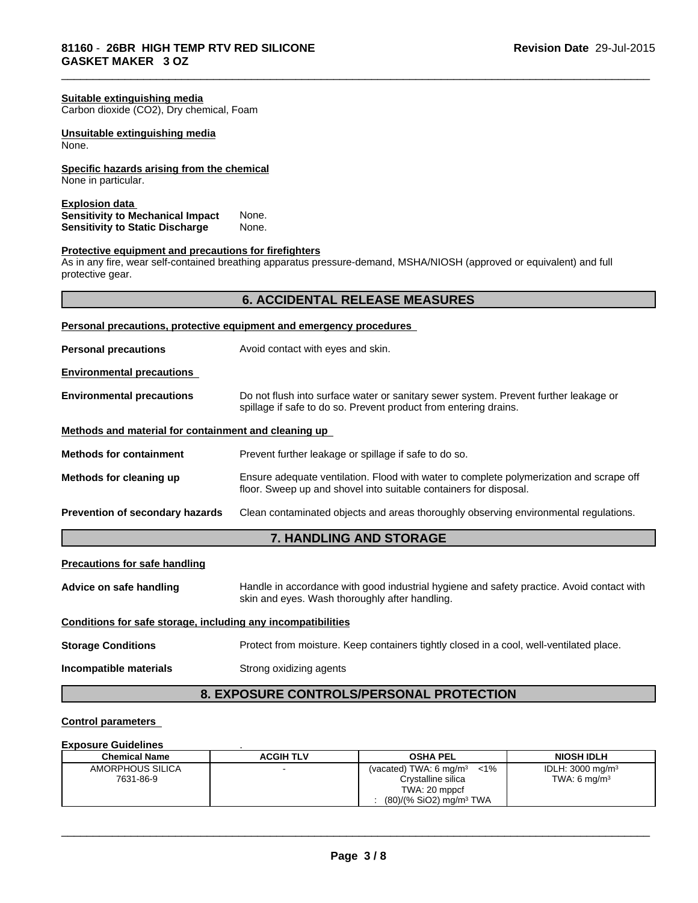| Suitable extinguishing media<br>Carbon dioxide (CO2), Dry chemical, Foam                                                                                                                           |                                                                                                                                                              |                                          |             |  |  |
|----------------------------------------------------------------------------------------------------------------------------------------------------------------------------------------------------|--------------------------------------------------------------------------------------------------------------------------------------------------------------|------------------------------------------|-------------|--|--|
| Unsuitable extinguishing media<br>None.                                                                                                                                                            |                                                                                                                                                              |                                          |             |  |  |
| Specific hazards arising from the chemical<br>None in particular.                                                                                                                                  |                                                                                                                                                              |                                          |             |  |  |
| <b>Explosion data</b><br><b>Sensitivity to Mechanical Impact</b><br><b>Sensitivity to Static Discharge</b>                                                                                         | None.<br>None.                                                                                                                                               |                                          |             |  |  |
| Protective equipment and precautions for firefighters<br>As in any fire, wear self-contained breathing apparatus pressure-demand, MSHA/NIOSH (approved or equivalent) and full<br>protective gear. |                                                                                                                                                              |                                          |             |  |  |
|                                                                                                                                                                                                    |                                                                                                                                                              | <b>6. ACCIDENTAL RELEASE MEASURES</b>    |             |  |  |
| Personal precautions, protective equipment and emergency procedures                                                                                                                                |                                                                                                                                                              |                                          |             |  |  |
| <b>Personal precautions</b>                                                                                                                                                                        | Avoid contact with eyes and skin.                                                                                                                            |                                          |             |  |  |
| <b>Environmental precautions</b>                                                                                                                                                                   |                                                                                                                                                              |                                          |             |  |  |
| <b>Environmental precautions</b>                                                                                                                                                                   | Do not flush into surface water or sanitary sewer system. Prevent further leakage or<br>spillage if safe to do so. Prevent product from entering drains.     |                                          |             |  |  |
| Methods and material for containment and cleaning up                                                                                                                                               |                                                                                                                                                              |                                          |             |  |  |
| <b>Methods for containment</b>                                                                                                                                                                     | Prevent further leakage or spillage if safe to do so.                                                                                                        |                                          |             |  |  |
| Methods for cleaning up                                                                                                                                                                            | Ensure adequate ventilation. Flood with water to complete polymerization and scrape off<br>floor. Sweep up and shovel into suitable containers for disposal. |                                          |             |  |  |
| Prevention of secondary hazards                                                                                                                                                                    | Clean contaminated objects and areas thoroughly observing environmental regulations.                                                                         |                                          |             |  |  |
|                                                                                                                                                                                                    |                                                                                                                                                              | 7. HANDLING AND STORAGE                  |             |  |  |
| <b>Precautions for safe handling</b>                                                                                                                                                               |                                                                                                                                                              |                                          |             |  |  |
| Advice on safe handling                                                                                                                                                                            | Handle in accordance with good industrial hygiene and safety practice. Avoid contact with<br>skin and eyes. Wash thoroughly after handling.                  |                                          |             |  |  |
| Conditions for safe storage, including any incompatibilities                                                                                                                                       |                                                                                                                                                              |                                          |             |  |  |
| <b>Storage Conditions</b>                                                                                                                                                                          | Protect from moisture. Keep containers tightly closed in a cool, well-ventilated place.                                                                      |                                          |             |  |  |
| Incompatible materials                                                                                                                                                                             | Strong oxidizing agents                                                                                                                                      |                                          |             |  |  |
|                                                                                                                                                                                                    |                                                                                                                                                              | 8. EXPOSURE CONTROLS/PERSONAL PROTECTION |             |  |  |
| <b>Control parameters</b>                                                                                                                                                                          |                                                                                                                                                              |                                          |             |  |  |
|                                                                                                                                                                                                    |                                                                                                                                                              |                                          |             |  |  |
| <b>Exposure Guidelines</b><br>Chemical Name                                                                                                                                                        | <b>ACGIH TI V</b>                                                                                                                                            | <b>OSHA PFI</b>                          | NIOSH IDI H |  |  |

\_\_\_\_\_\_\_\_\_\_\_\_\_\_\_\_\_\_\_\_\_\_\_\_\_\_\_\_\_\_\_\_\_\_\_\_\_\_\_\_\_\_\_\_\_\_\_\_\_\_\_\_\_\_\_\_\_\_\_\_\_\_\_\_\_\_\_\_\_\_\_\_\_\_\_\_\_\_\_\_\_\_\_\_\_\_\_\_\_\_\_\_\_

| EANOOGIV OGIJOHIIVO  |                  |                                              |                             |
|----------------------|------------------|----------------------------------------------|-----------------------------|
| <b>Chemical Name</b> | <b>ACGIH TLV</b> | <b>OSHA PEL</b>                              | <b>NIOSH IDLH</b>           |
| AMORPHOUS SILICA     |                  | $< 1\%$<br>(vacated) TWA: $6 \text{ mg/m}^3$ | IDLH: $3000 \text{ mg/m}^3$ |
| 7631-86-9            |                  | Crystalline silica                           | TWA: 6 $mq/m3$              |
|                      |                  | TWA: 20 mppcf                                |                             |
|                      |                  | $(80)/(%$ SiO2) mg/m <sup>3</sup> TWA        |                             |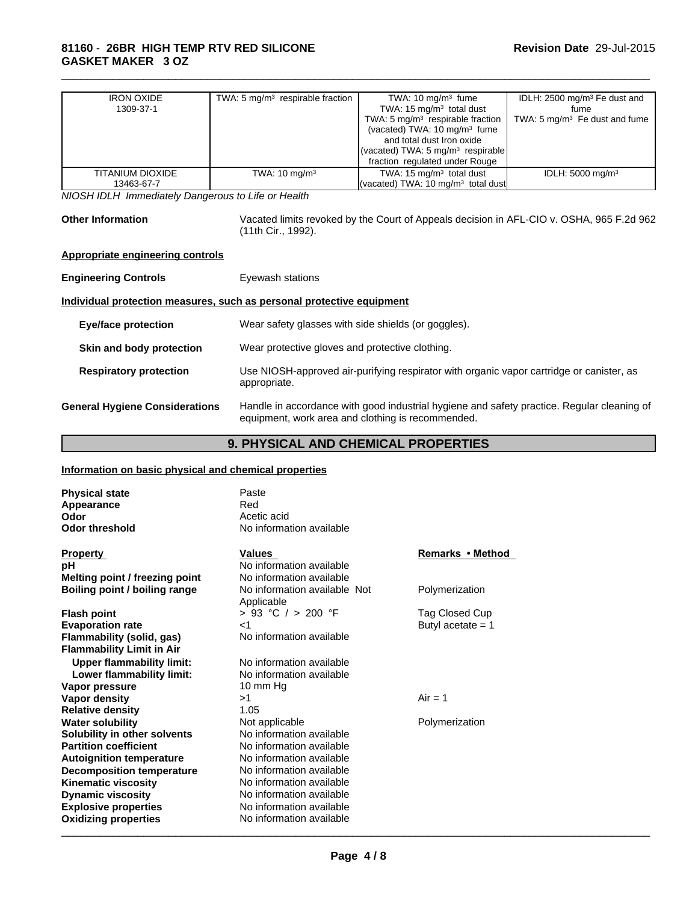| <b>IRON OXIDE</b> | TWA: 5 $mq/m3$ respirable fraction | TWA: $10 \text{ mg/m}^3$ fume                | IDLH: $2500 \text{ mg/m}^3$ Fe dust and  |
|-------------------|------------------------------------|----------------------------------------------|------------------------------------------|
| 1309-37-1         |                                    | TWA: $15 \text{ mg/m}^3$ total dust          | fume                                     |
|                   |                                    | TWA: 5 $mg/m3$ respirable fraction           | TWA: $5 \text{ mg/m}^3$ Fe dust and fume |
|                   |                                    | (vacated) TWA: $10 \text{ mg/m}^3$ fume      |                                          |
|                   |                                    | and total dust Iron oxide                    |                                          |
|                   |                                    | (vacated) TWA: $5 \text{ mg/m}^3$ respirable |                                          |
|                   |                                    | fraction regulated under Rouge               |                                          |
| TITANIUM DIOXIDE  | TWA: $10 \text{ mg/m}^3$           | TWA: $15 \text{ mg/m}^3$ total dust          | IDLH: $5000 \text{ mg/m}^3$              |
| 13463-67-7        |                                    | (vacated) TWA: 10 $mq/m3$ total dust         |                                          |

*NIOSH IDLH Immediately Dangerous to Life or Health*

**Other Information** Vacated limits revoked by the Court of Appeals decision in AFL-CIO v. OSHA, 965 F.2d 962 (11th Cir., 1992).

\_\_\_\_\_\_\_\_\_\_\_\_\_\_\_\_\_\_\_\_\_\_\_\_\_\_\_\_\_\_\_\_\_\_\_\_\_\_\_\_\_\_\_\_\_\_\_\_\_\_\_\_\_\_\_\_\_\_\_\_\_\_\_\_\_\_\_\_\_\_\_\_\_\_\_\_\_\_\_\_\_\_\_\_\_\_\_\_\_\_\_\_\_

## **Appropriate engineering controls**

| <b>Engineering Controls</b>           | Eyewash stations                                                                                                                                |  |  |
|---------------------------------------|-------------------------------------------------------------------------------------------------------------------------------------------------|--|--|
|                                       | Individual protection measures, such as personal protective equipment                                                                           |  |  |
| <b>Eye/face protection</b>            | Wear safety glasses with side shields (or goggles).                                                                                             |  |  |
| Skin and body protection              | Wear protective gloves and protective clothing.                                                                                                 |  |  |
| <b>Respiratory protection</b>         | Use NIOSH-approved air-purifying respirator with organic vapor cartridge or canister, as<br>appropriate.                                        |  |  |
| <b>General Hygiene Considerations</b> | Handle in accordance with good industrial hygiene and safety practice. Regular cleaning of<br>equipment, work area and clothing is recommended. |  |  |

## **9. PHYSICAL AND CHEMICAL PROPERTIES**

## **Information on basic physical and chemical properties**

| <b>Physical state</b>                | Paste                                      |                     |
|--------------------------------------|--------------------------------------------|---------------------|
| <b>Appearance</b>                    | Red                                        |                     |
| Odor                                 | Acetic acid                                |                     |
| <b>Odor threshold</b>                | No information available                   |                     |
| <b>Property</b>                      | <b>Values</b>                              | Remarks • Method    |
| рH                                   | No information available                   |                     |
| Melting point / freezing point       | No information available                   |                     |
| <b>Boiling point / boiling range</b> | No information available Not<br>Applicable | Polymerization      |
| <b>Flash point</b>                   | $> 93$ °C $/ > 200$ °F                     | Tag Closed Cup      |
| <b>Evaporation rate</b>              | $<$ 1                                      | Butyl acetate $= 1$ |
| Flammability (solid, gas)            | No information available                   |                     |
| <b>Flammability Limit in Air</b>     |                                            |                     |
| <b>Upper flammability limit:</b>     | No information available                   |                     |
| Lower flammability limit:            | No information available                   |                     |
| Vapor pressure                       | 10 mm $Hg$                                 |                     |
| Vapor density                        | >1                                         | $Air = 1$           |
| <b>Relative density</b>              | 1.05                                       |                     |
| <b>Water solubility</b>              | Not applicable                             | Polymerization      |
| Solubility in other solvents         | No information available                   |                     |
| <b>Partition coefficient</b>         | No information available                   |                     |
| <b>Autoignition temperature</b>      | No information available                   |                     |
| <b>Decomposition temperature</b>     | No information available                   |                     |
| <b>Kinematic viscosity</b>           | No information available                   |                     |
| <b>Dynamic viscosity</b>             | No information available                   |                     |
| <b>Explosive properties</b>          | No information available                   |                     |
| <b>Oxidizing properties</b>          | No information available                   |                     |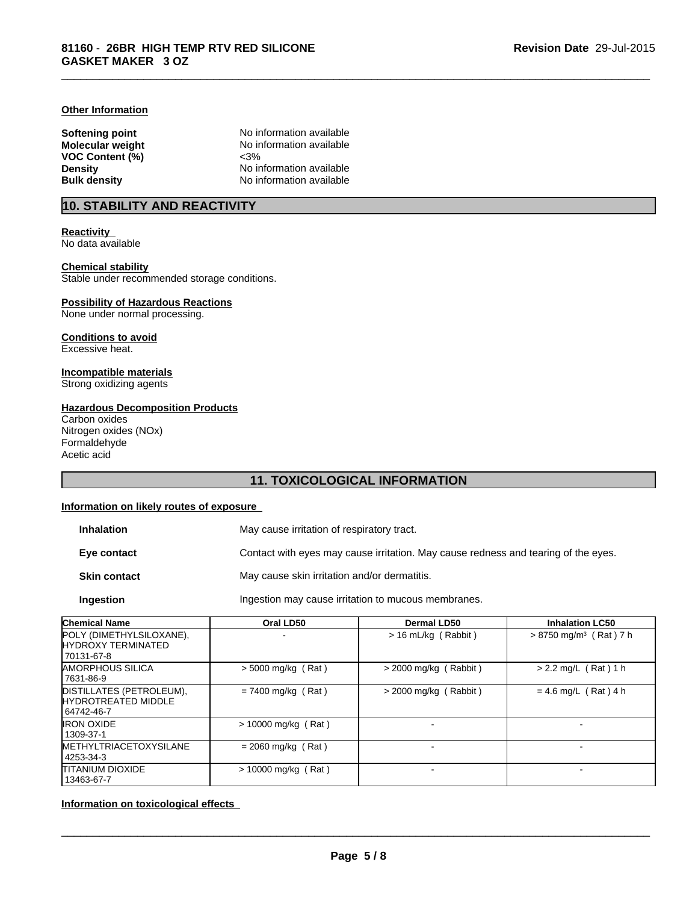#### **Other Information**

**VOC Content (%)** 

**Softening point No information available**<br> **Molecular weight No information available** No information available<br><3% **Density** No information available **Bulk density** No information available

\_\_\_\_\_\_\_\_\_\_\_\_\_\_\_\_\_\_\_\_\_\_\_\_\_\_\_\_\_\_\_\_\_\_\_\_\_\_\_\_\_\_\_\_\_\_\_\_\_\_\_\_\_\_\_\_\_\_\_\_\_\_\_\_\_\_\_\_\_\_\_\_\_\_\_\_\_\_\_\_\_\_\_\_\_\_\_\_\_\_\_\_\_

## **10. STABILITY AND REACTIVITY**

**Reactivity**  No data available

#### **Chemical stability** Stable under recommended storage conditions.

## **Possibility of Hazardous Reactions**

None under normal processing.

#### **Conditions to avoid** Excessive heat.

**Incompatible materials** Strong oxidizing agents

## **Hazardous Decomposition Products**

Carbon oxides Nitrogen oxides (NOx) Formaldehyde Acetic acid

## **11. TOXICOLOGICAL INFORMATION**

## **Information on likely routes of exposure**

| <b>Inhalation</b>   | May cause irritation of respiratory tract.                                         |
|---------------------|------------------------------------------------------------------------------------|
| Eye contact         | Contact with eyes may cause irritation. May cause redness and tearing of the eyes. |
| <b>Skin contact</b> | May cause skin irritation and/or dermatitis.                                       |
| <b>Ingestion</b>    | Ingestion may cause irritation to mucous membranes.                                |

| <b>Chemical Name</b><br>Oral LD50                                    |                       | Dermal LD50             | <b>Inhalation LC50</b>               |  |
|----------------------------------------------------------------------|-----------------------|-------------------------|--------------------------------------|--|
| POLY (DIMETHYLSILOXANE),<br><b>HYDROXY TERMINATED</b><br>70131-67-8  |                       | $> 16$ mL/kg (Rabbit)   | $> 8750$ mg/m <sup>3</sup> (Rat) 7 h |  |
| <b>IAMORPHOUS SILICA</b><br>7631-86-9                                | $>$ 5000 mg/kg (Rat)  | $>$ 2000 mg/kg (Rabbit) | $> 2.2$ mg/L (Rat) 1 h               |  |
| DISTILLATES (PETROLEUM),<br><b>HYDROTREATED MIDDLE</b><br>64742-46-7 | $= 7400$ mg/kg (Rat)  | $>$ 2000 mg/kg (Rabbit) | $= 4.6$ mg/L (Rat) 4 h               |  |
| <b>IRON OXIDE</b><br>1309-37-1                                       | $> 10000$ mg/kg (Rat) |                         |                                      |  |
| <b>IMETHYLTRIACETOXYSILANE</b><br>4253-34-3                          | $= 2060$ mg/kg (Rat)  |                         |                                      |  |
| <b>ITITANIUM DIOXIDE</b><br>13463-67-7                               | $> 10000$ mg/kg (Rat) |                         |                                      |  |

**Information on toxicological effects**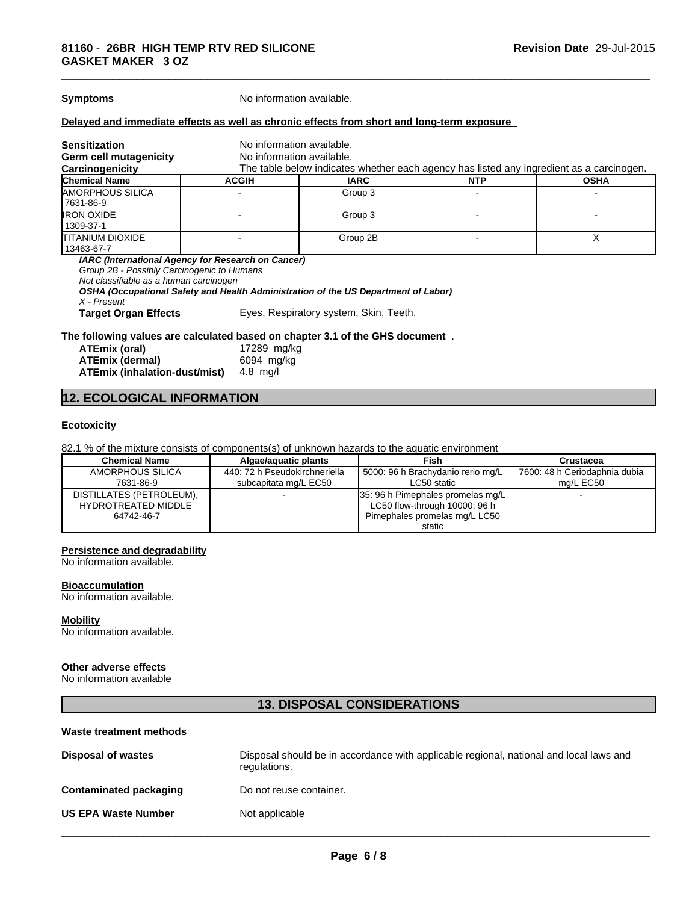**Symptoms** No information available.

#### **Delayed and immediate effects as well as chronic effects from short and long-term exposure**

| <b>Sensitization</b>                                                                 | No information available.                                                                                                                |             |                                                                                          |             |  |
|--------------------------------------------------------------------------------------|------------------------------------------------------------------------------------------------------------------------------------------|-------------|------------------------------------------------------------------------------------------|-------------|--|
| <b>Germ cell mutagenicity</b>                                                        | No information available.                                                                                                                |             |                                                                                          |             |  |
| Carcinogenicity                                                                      |                                                                                                                                          |             | The table below indicates whether each agency has listed any ingredient as a carcinogen. |             |  |
| <b>Chemical Name</b>                                                                 | <b>ACGIH</b>                                                                                                                             | <b>IARC</b> | <b>NTP</b>                                                                               | <b>OSHA</b> |  |
| <b>AMORPHOUS SILICA</b><br>7631-86-9                                                 |                                                                                                                                          | Group 3     |                                                                                          |             |  |
| <b>IRON OXIDE</b><br>1309-37-1                                                       |                                                                                                                                          | Group 3     |                                                                                          |             |  |
| <b>ITITANIUM DIOXIDE</b><br>13463-67-7                                               |                                                                                                                                          | Group 2B    |                                                                                          |             |  |
| Group 2B - Possibly Carcinogenic to Humans<br>Not classifiable as a human carcinogen | IARC (International Agency for Research on Cancer)<br>OSHA (Occupational Safety and Health Administration of the US Department of Labor) |             |                                                                                          |             |  |

*X - Present*

**Target Organ Effects** Eyes, Respiratory system, Skin, Teeth.

#### **The following values are calculated based on chapter 3.1 of the GHS document** .

| ATEmix (oral)                                 | 17289 mg/kg |
|-----------------------------------------------|-------------|
| <b>ATEmix (dermal)</b>                        | 6094 mg/kg  |
| <b>ATEmix (inhalation-dust/mist)</b> 4.8 mg/l |             |

## **12. ECOLOGICAL INFORMATION**

#### **Ecotoxicity**

82.1 % of the mixture consists of components(s) of unknown hazards to the aquatic environment

| <b>Chemical Name</b>     | Algae/aguatic plants          | <b>Fish</b>                       | Crustacea                     |
|--------------------------|-------------------------------|-----------------------------------|-------------------------------|
| AMORPHOUS SILICA         | 440: 72 h Pseudokirchneriella | 5000: 96 h Brachydanio rerio mg/L | 7600: 48 h Ceriodaphnia dubia |
| 7631-86-9                | subcapitata mg/L EC50         | LC50 static                       | ma/L EC50                     |
| DISTILLATES (PETROLEUM), |                               | 35: 96 h Pimephales promelas mg/L |                               |
| HYDROTREATED MIDDLE      |                               | LC50 flow-through 10000: 96 h     |                               |
| 64742-46-7               |                               | Pimephales promelas mg/L LC50     |                               |
|                          |                               | static                            |                               |

#### **Persistence and degradability**

No information available.

#### **Bioaccumulation**

No information available.

#### **Mobility**

No information available.

## **Other adverse effects**

No information available

## **13. DISPOSAL CONSIDERATIONS**

#### **Waste treatment methods**

| <b>Disposal of wastes</b>  | Disposal should be in accordance with applicable regional, national and local laws and<br>regulations. |
|----------------------------|--------------------------------------------------------------------------------------------------------|
| Contaminated packaging     | Do not reuse container.                                                                                |
| <b>US EPA Waste Number</b> | Not applicable                                                                                         |
|                            |                                                                                                        |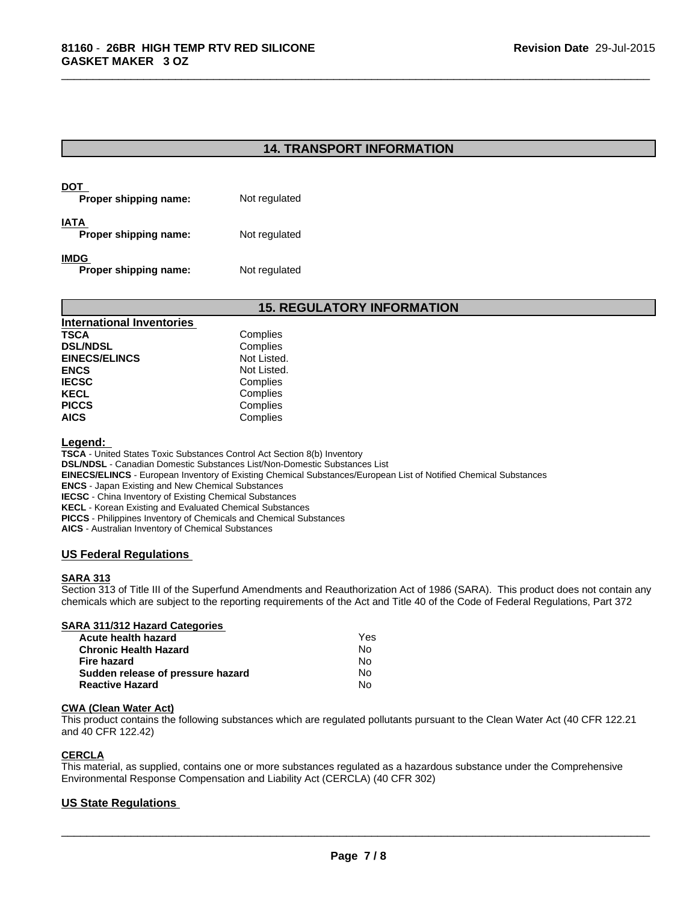## **14. TRANSPORT INFORMATION**

\_\_\_\_\_\_\_\_\_\_\_\_\_\_\_\_\_\_\_\_\_\_\_\_\_\_\_\_\_\_\_\_\_\_\_\_\_\_\_\_\_\_\_\_\_\_\_\_\_\_\_\_\_\_\_\_\_\_\_\_\_\_\_\_\_\_\_\_\_\_\_\_\_\_\_\_\_\_\_\_\_\_\_\_\_\_\_\_\_\_\_\_\_

| DOT<br>Proper shipping name:  | Not regulated |
|-------------------------------|---------------|
| IATA<br>Proper shipping name: | Not regulated |
| IMDG<br>Proper shipping name: | Not regulated |

## **15. REGULATORY INFORMATION**

| <b>International Inventories</b> |             |
|----------------------------------|-------------|
| <b>TSCA</b>                      | Complies    |
| <b>DSL/NDSL</b>                  | Complies    |
| <b>EINECS/ELINCS</b>             | Not Listed. |
| <b>ENCS</b>                      | Not Listed. |
| <b>IECSC</b>                     | Complies    |
| <b>KECL</b>                      | Complies    |
| <b>PICCS</b>                     | Complies    |
| <b>AICS</b>                      | Complies    |

#### **Legend:**

**TSCA** - United States Toxic Substances Control Act Section 8(b) Inventory **DSL/NDSL** - Canadian Domestic Substances List/Non-Domestic Substances List **EINECS/ELINCS** - European Inventory of Existing Chemical Substances/European List of Notified Chemical Substances **ENCS** - Japan Existing and New Chemical Substances **IECSC** - China Inventory of Existing Chemical Substances **KECL** - Korean Existing and Evaluated Chemical Substances **PICCS** - Philippines Inventory of Chemicals and Chemical Substances **AICS** - Australian Inventory of Chemical Substances

### **US Federal Regulations**

### **SARA 313**

Section 313 of Title III of the Superfund Amendments and Reauthorization Act of 1986 (SARA). This product does not contain any chemicals which are subject to the reporting requirements of the Act and Title 40 of the Code of Federal Regulations, Part 372

### **SARA 311/312 Hazard Categories**

| Acute health hazard               | Yes |  |
|-----------------------------------|-----|--|
| <b>Chronic Health Hazard</b>      | N٥  |  |
| Fire hazard                       | N٥  |  |
| Sudden release of pressure hazard | No. |  |
| <b>Reactive Hazard</b>            | N٥  |  |

#### **CWA (Clean Water Act)**

This product contains the following substances which are regulated pollutants pursuant to the Clean Water Act (40 CFR 122.21 and 40 CFR 122.42)

## **CERCLA**

This material, as supplied, contains one or more substances regulated as a hazardous substance under the Comprehensive Environmental Response Compensation and Liability Act (CERCLA) (40 CFR 302)

## **US State Regulations**